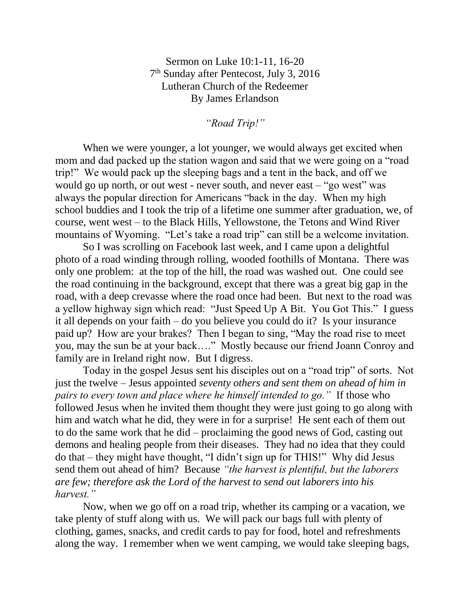Sermon on Luke 10:1-11, 16-20 7<sup>th</sup> Sunday after Pentecost, July 3, 2016 Lutheran Church of the Redeemer By James Erlandson

*"Road Trip!"*

When we were younger, a lot younger, we would always get excited when mom and dad packed up the station wagon and said that we were going on a "road trip!" We would pack up the sleeping bags and a tent in the back, and off we would go up north, or out west - never south, and never east – "go west" was always the popular direction for Americans "back in the day. When my high school buddies and I took the trip of a lifetime one summer after graduation, we, of course, went west – to the Black Hills, Yellowstone, the Tetons and Wind River mountains of Wyoming. "Let's take a road trip" can still be a welcome invitation.

So I was scrolling on Facebook last week, and I came upon a delightful photo of a road winding through rolling, wooded foothills of Montana. There was only one problem: at the top of the hill, the road was washed out. One could see the road continuing in the background, except that there was a great big gap in the road, with a deep crevasse where the road once had been. But next to the road was a yellow highway sign which read: "Just Speed Up A Bit. You Got This." I guess it all depends on your faith – do you believe you could do it? Is your insurance paid up? How are your brakes? Then I began to sing, "May the road rise to meet you, may the sun be at your back…." Mostly because our friend Joann Conroy and family are in Ireland right now. But I digress.

Today in the gospel Jesus sent his disciples out on a "road trip" of sorts. Not just the twelve – Jesus appointed *seventy others and sent them on ahead of him in pairs to every town and place where he himself intended to go."* If those who followed Jesus when he invited them thought they were just going to go along with him and watch what he did, they were in for a surprise! He sent each of them out to do the same work that he did – proclaiming the good news of God, casting out demons and healing people from their diseases. They had no idea that they could do that – they might have thought, "I didn't sign up for THIS!" Why did Jesus send them out ahead of him? Because *"the harvest is plentiful, but the laborers are few; therefore ask the Lord of the harvest to send out laborers into his harvest."*

Now, when we go off on a road trip, whether its camping or a vacation, we take plenty of stuff along with us. We will pack our bags full with plenty of clothing, games, snacks, and credit cards to pay for food, hotel and refreshments along the way. I remember when we went camping, we would take sleeping bags,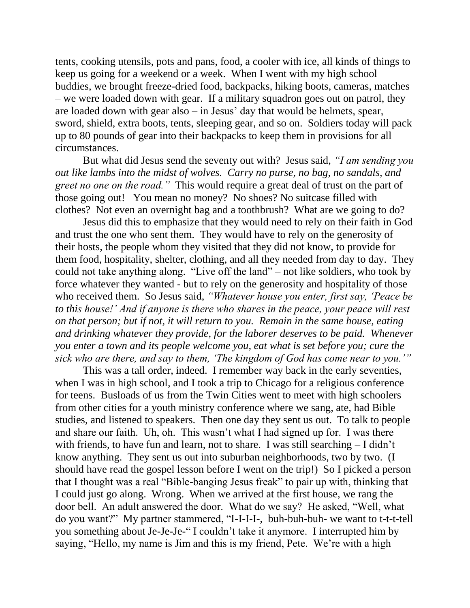tents, cooking utensils, pots and pans, food, a cooler with ice, all kinds of things to keep us going for a weekend or a week. When I went with my high school buddies, we brought freeze-dried food, backpacks, hiking boots, cameras, matches – we were loaded down with gear. If a military squadron goes out on patrol, they are loaded down with gear also – in Jesus' day that would be helmets, spear, sword, shield, extra boots, tents, sleeping gear, and so on. Soldiers today will pack up to 80 pounds of gear into their backpacks to keep them in provisions for all circumstances.

But what did Jesus send the seventy out with? Jesus said, *"I am sending you out like lambs into the midst of wolves. Carry no purse, no bag, no sandals, and greet no one on the road."* This would require a great deal of trust on the part of those going out! You mean no money? No shoes? No suitcase filled with clothes? Not even an overnight bag and a toothbrush? What are we going to do?

Jesus did this to emphasize that they would need to rely on their faith in God and trust the one who sent them. They would have to rely on the generosity of their hosts, the people whom they visited that they did not know, to provide for them food, hospitality, shelter, clothing, and all they needed from day to day. They could not take anything along. "Live off the land" – not like soldiers, who took by force whatever they wanted - but to rely on the generosity and hospitality of those who received them. So Jesus said, *"Whatever house you enter, first say, 'Peace be to this house!' And if anyone is there who shares in the peace, your peace will rest on that person; but if not, it will return to you. Remain in the same house, eating and drinking whatever they provide, for the laborer deserves to be paid. Whenever you enter a town and its people welcome you, eat what is set before you; cure the sick who are there, and say to them, 'The kingdom of God has come near to you.'"*

This was a tall order, indeed. I remember way back in the early seventies, when I was in high school, and I took a trip to Chicago for a religious conference for teens. Busloads of us from the Twin Cities went to meet with high schoolers from other cities for a youth ministry conference where we sang, ate, had Bible studies, and listened to speakers. Then one day they sent us out. To talk to people and share our faith. Uh, oh. This wasn't what I had signed up for. I was there with friends, to have fun and learn, not to share. I was still searching – I didn't know anything. They sent us out into suburban neighborhoods, two by two. (I should have read the gospel lesson before I went on the trip!) So I picked a person that I thought was a real "Bible-banging Jesus freak" to pair up with, thinking that I could just go along. Wrong. When we arrived at the first house, we rang the door bell. An adult answered the door. What do we say? He asked, "Well, what do you want?" My partner stammered, "I-I-I-I-, buh-buh-buh- we want to t-t-t-tell you something about Je-Je-Je-" I couldn't take it anymore. I interrupted him by saying, "Hello, my name is Jim and this is my friend, Pete. We're with a high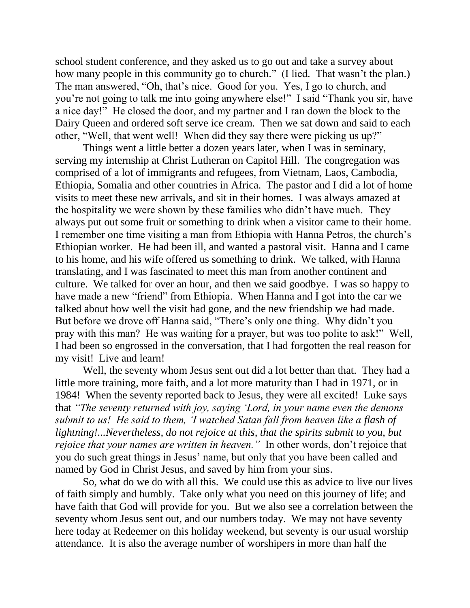school student conference, and they asked us to go out and take a survey about how many people in this community go to church." (I lied. That wasn't the plan.) The man answered, "Oh, that's nice. Good for you. Yes, I go to church, and you're not going to talk me into going anywhere else!" I said "Thank you sir, have a nice day!" He closed the door, and my partner and I ran down the block to the Dairy Queen and ordered soft serve ice cream. Then we sat down and said to each other, "Well, that went well! When did they say there were picking us up?"

Things went a little better a dozen years later, when I was in seminary, serving my internship at Christ Lutheran on Capitol Hill. The congregation was comprised of a lot of immigrants and refugees, from Vietnam, Laos, Cambodia, Ethiopia, Somalia and other countries in Africa. The pastor and I did a lot of home visits to meet these new arrivals, and sit in their homes. I was always amazed at the hospitality we were shown by these families who didn't have much. They always put out some fruit or something to drink when a visitor came to their home. I remember one time visiting a man from Ethiopia with Hanna Petros, the church's Ethiopian worker. He had been ill, and wanted a pastoral visit. Hanna and I came to his home, and his wife offered us something to drink. We talked, with Hanna translating, and I was fascinated to meet this man from another continent and culture. We talked for over an hour, and then we said goodbye. I was so happy to have made a new "friend" from Ethiopia. When Hanna and I got into the car we talked about how well the visit had gone, and the new friendship we had made. But before we drove off Hanna said, "There's only one thing. Why didn't you pray with this man? He was waiting for a prayer, but was too polite to ask!" Well, I had been so engrossed in the conversation, that I had forgotten the real reason for my visit! Live and learn!

Well, the seventy whom Jesus sent out did a lot better than that. They had a little more training, more faith, and a lot more maturity than I had in 1971, or in 1984! When the seventy reported back to Jesus, they were all excited! Luke says that *"The seventy returned with joy, saying 'Lord, in your name even the demons submit to us! He said to them, 'I watched Satan fall from heaven like a flash of lightning!...Nevertheless, do not rejoice at this, that the spirits submit to you, but rejoice that your names are written in heaven."* In other words, don't rejoice that you do such great things in Jesus' name, but only that you have been called and named by God in Christ Jesus, and saved by him from your sins.

So, what do we do with all this. We could use this as advice to live our lives of faith simply and humbly. Take only what you need on this journey of life; and have faith that God will provide for you. But we also see a correlation between the seventy whom Jesus sent out, and our numbers today. We may not have seventy here today at Redeemer on this holiday weekend, but seventy is our usual worship attendance. It is also the average number of worshipers in more than half the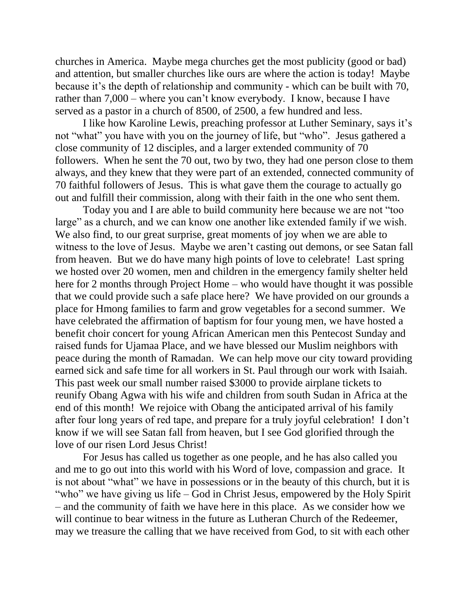churches in America. Maybe mega churches get the most publicity (good or bad) and attention, but smaller churches like ours are where the action is today! Maybe because it's the depth of relationship and community - which can be built with 70, rather than 7,000 – where you can't know everybody. I know, because I have served as a pastor in a church of 8500, of 2500, a few hundred and less.

I like how Karoline Lewis, preaching professor at Luther Seminary, says it's not "what" you have with you on the journey of life, but "who". Jesus gathered a close community of 12 disciples, and a larger extended community of 70 followers. When he sent the 70 out, two by two, they had one person close to them always, and they knew that they were part of an extended, connected community of 70 faithful followers of Jesus. This is what gave them the courage to actually go out and fulfill their commission, along with their faith in the one who sent them.

Today you and I are able to build community here because we are not "too large" as a church, and we can know one another like extended family if we wish. We also find, to our great surprise, great moments of joy when we are able to witness to the love of Jesus. Maybe we aren't casting out demons, or see Satan fall from heaven. But we do have many high points of love to celebrate! Last spring we hosted over 20 women, men and children in the emergency family shelter held here for 2 months through Project Home – who would have thought it was possible that we could provide such a safe place here? We have provided on our grounds a place for Hmong families to farm and grow vegetables for a second summer. We have celebrated the affirmation of baptism for four young men, we have hosted a benefit choir concert for young African American men this Pentecost Sunday and raised funds for Ujamaa Place, and we have blessed our Muslim neighbors with peace during the month of Ramadan. We can help move our city toward providing earned sick and safe time for all workers in St. Paul through our work with Isaiah. This past week our small number raised \$3000 to provide airplane tickets to reunify Obang Agwa with his wife and children from south Sudan in Africa at the end of this month! We rejoice with Obang the anticipated arrival of his family after four long years of red tape, and prepare for a truly joyful celebration! I don't know if we will see Satan fall from heaven, but I see God glorified through the love of our risen Lord Jesus Christ!

For Jesus has called us together as one people, and he has also called you and me to go out into this world with his Word of love, compassion and grace. It is not about "what" we have in possessions or in the beauty of this church, but it is "who" we have giving us life – God in Christ Jesus, empowered by the Holy Spirit – and the community of faith we have here in this place. As we consider how we will continue to bear witness in the future as Lutheran Church of the Redeemer, may we treasure the calling that we have received from God, to sit with each other